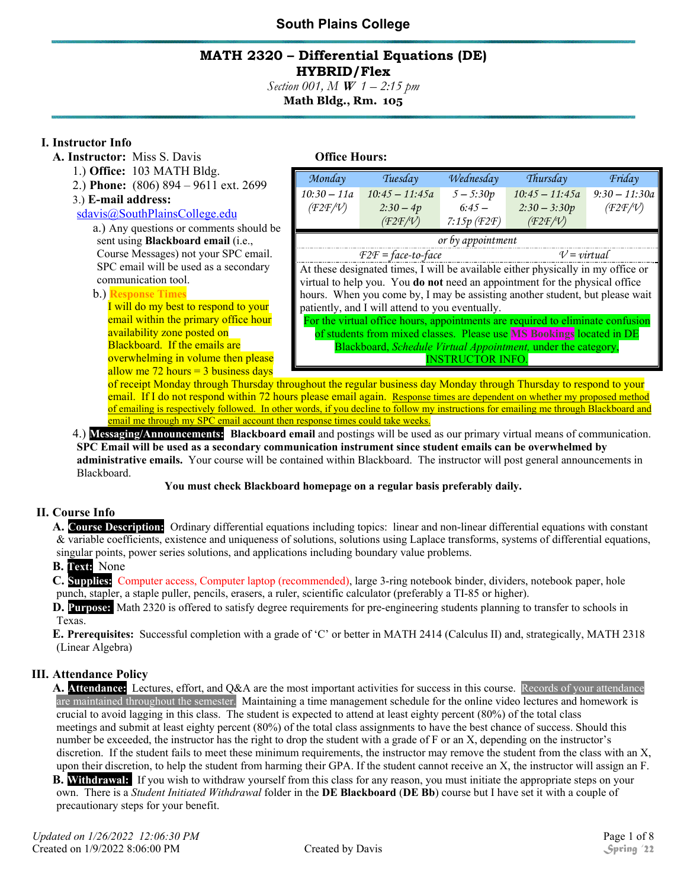#### **MATH 2320 – Differential Equations (DE) HYBRID/Flex**

*Section 001, M* **W** *1 – 2:15 pm*  **Math Bldg., Rm. 105** 

#### **I. Instructor Info**

- **A. Instructor:** Miss S. Davis **Office Hours:** 
	- 1.) **Office:** 103 MATH Bldg.
	- 2.) **Phone:** (806) 894 9611 ext. 2699

#### 3.) **E-mail address:**

#### sdavis@SouthPlainsCollege.edu

a.) Any questions or comments should be sent using **Blackboard email** (i.e., Course Messages) not your SPC email. SPC email will be used as a secondary communication tool.

#### b.) **Response Times**

I will do my best to respond to your email within the primary office hour availability zone posted on Blackboard. If the emails are overwhelming in volume then please allow me  $72$  hours = 3 business days

| Monday                                                                         | Tuesday                                                                          | Wednesday     | Thursday         | Friday          |  |
|--------------------------------------------------------------------------------|----------------------------------------------------------------------------------|---------------|------------------|-----------------|--|
| $10:30 - 11a$                                                                  | $10:45 - 11:45a$                                                                 | $5 - 5:30p$   | $10:45 - 11:45a$ | $9:30 - 11:30a$ |  |
| (F2F/V)                                                                        | $2:30-4p$                                                                        | $6:45-$       | $2:30 - 3:30p$   | (F2F/V)         |  |
|                                                                                | (F2F/V)                                                                          | $7:15p$ (F2F) | (F2F/V)          |                 |  |
| or by appointment                                                              |                                                                                  |               |                  |                 |  |
| $F2F = face-to-face$                                                           |                                                                                  |               | $V = virtual$    |                 |  |
|                                                                                | At these designated times, I will be available either physically in my office or |               |                  |                 |  |
| virtual to help you. You do not need an appointment for the physical office    |                                                                                  |               |                  |                 |  |
| hours. When you come by, I may be assisting another student, but please wait   |                                                                                  |               |                  |                 |  |
| patiently, and I will attend to you eventually.                                |                                                                                  |               |                  |                 |  |
| For the virtual office hours, appointments are required to eliminate confusion |                                                                                  |               |                  |                 |  |
| of students from mixed classes. Please use <b>MS Bookings</b> located in DE    |                                                                                  |               |                  |                 |  |
| Blackboard, Schedule Virtual Appointment, under the category,                  |                                                                                  |               |                  |                 |  |
| <b>INSTRUCTOR INFO.</b>                                                        |                                                                                  |               |                  |                 |  |

of receipt Monday through Thursday throughout the regular business day Monday through Thursday to respond to your email. If I do not respond within 72 hours please email again. Response times are dependent on whether my proposed method of emailing is respectively followed. In other words, if you decline to follow my instructions for emailing me through Blackboard and email me through my SPC email account then response times could take weeks.

4.) **Messaging/Announcements: Blackboard email** and postings will be used as our primary virtual means of communication. **SPC Email will be used as a secondary communication instrument since student emails can be overwhelmed by administrative emails.** Your course will be contained within Blackboard. The instructor will post general announcements in Blackboard.

#### **You must check Blackboard homepage on a regular basis preferably daily.**

#### **II. Course Info**

**A. Course Description:** Ordinary differential equations including topics: linear and non-linear differential equations with constant & variable coefficients, existence and uniqueness of solutions, solutions using Laplace transforms, systems of differential equations, singular points, power series solutions, and applications including boundary value problems.

#### **B. Text:** None

**C. Supplies:** Computer access, Computer laptop (recommended), large 3-ring notebook binder, dividers, notebook paper, hole punch, stapler, a staple puller, pencils, erasers, a ruler, scientific calculator (preferably a TI-85 or higher).

**D. Purpose:** Math 2320 is offered to satisfy degree requirements for pre-engineering students planning to transfer to schools in Texas.

**E. Prerequisites:** Successful completion with a grade of 'C' or better in MATH 2414 (Calculus II) and, strategically, MATH 2318 (Linear Algebra)

#### **III. Attendance Policy**

**A. Attendance:** Lectures, effort, and Q&A are the most important activities for success in this course. Records of your attendance are maintained throughout the semester. Maintaining a time management schedule for the online video lectures and homework is crucial to avoid lagging in this class. The student is expected to attend at least eighty percent (80%) of the total class meetings and submit at least eighty percent (80%) of the total class assignments to have the best chance of success. Should this number be exceeded, the instructor has the right to drop the student with a grade of F or an X, depending on the instructor's discretion. If the student fails to meet these minimum requirements, the instructor may remove the student from the class with an X, upon their discretion, to help the student from harming their GPA. If the student cannot receive an X, the instructor will assign an F.

**B.** Withdrawal: If you wish to withdraw yourself from this class for any reason, you must initiate the appropriate steps on your own. There is a *Student Initiated Withdrawal* folder in the **DE Blackboard** (**DE Bb**) course but I have set it with a couple of precautionary steps for your benefit.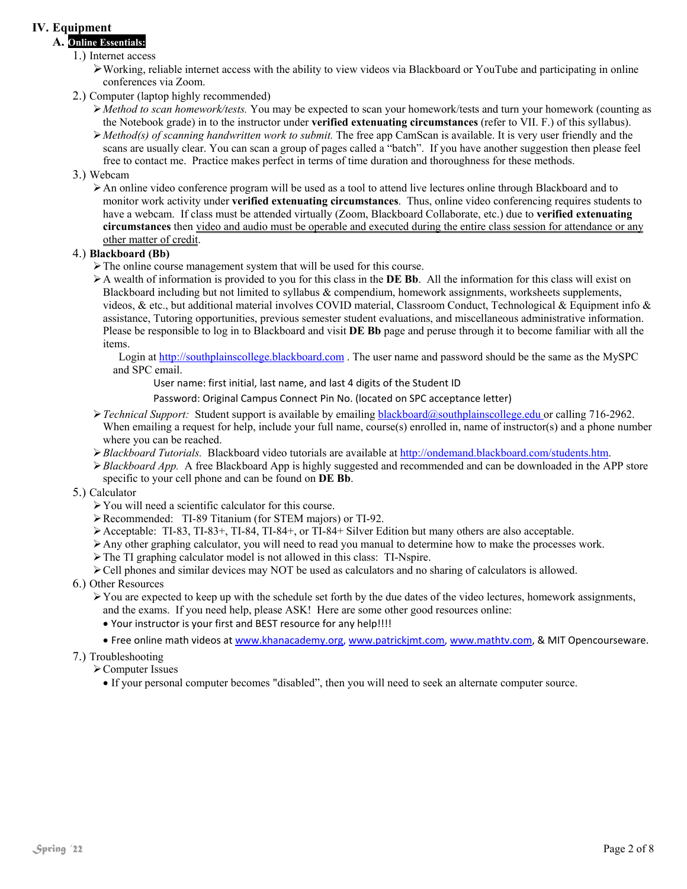#### **IV. Equipment**

### **A. Online Essentials:**

- 1.) Internet access
	- Working, reliable internet access with the ability to view videos via Blackboard or YouTube and participating in online conferences via Zoom.
- 2.) Computer (laptop highly recommended)
	- *Method to scan homework/tests.* You may be expected to scan your homework/tests and turn your homework (counting as the Notebook grade) in to the instructor under **verified extenuating circumstances** (refer to VII. F.) of this syllabus).
	- *Method(s) of scanning handwritten work to submit.* The free app CamScan is available. It is very user friendly and the scans are usually clear. You can scan a group of pages called a "batch". If you have another suggestion then please feel free to contact me. Practice makes perfect in terms of time duration and thoroughness for these methods.

#### 3.) Webcam

An online video conference program will be used as a tool to attend live lectures online through Blackboard and to monitor work activity under **verified extenuating circumstances**. Thus, online video conferencing requires students to have a webcam. If class must be attended virtually (Zoom, Blackboard Collaborate, etc.) due to **verified extenuating circumstances** then video and audio must be operable and executed during the entire class session for attendance or any other matter of credit.

#### 4.) **Blackboard (Bb)**

- $\triangleright$  The online course management system that will be used for this course.
- A wealth of information is provided to you for this class in the **DE Bb**. All the information for this class will exist on Blackboard including but not limited to syllabus & compendium, homework assignments, worksheets supplements, videos, & etc., but additional material involves COVID material, Classroom Conduct, Technological & Equipment info & assistance, Tutoring opportunities, previous semester student evaluations, and miscellaneous administrative information. Please be responsible to log in to Blackboard and visit **DE Bb** page and peruse through it to become familiar with all the items.

 Login at http://southplainscollege.blackboard.com . The user name and password should be the same as the MySPC and SPC email.

User name: first initial, last name, and last 4 digits of the Student ID

Password: Original Campus Connect Pin No. (located on SPC acceptance letter)

- *Technical Support:* Student support is available by emailing blackboard@southplainscollege.edu or calling 716-2962. When emailing a request for help, include your full name, course(s) enrolled in, name of instructor(s) and a phone number where you can be reached.
- *Blackboard Tutorials.* Blackboard video tutorials are available at http://ondemand.blackboard.com/students.htm.
- *Blackboard App.* A free Blackboard App is highly suggested and recommended and can be downloaded in the APP store specific to your cell phone and can be found on **DE Bb**.
- 5.) Calculator
	- You will need a scientific calculator for this course.
	- Recommended: TI-89 Titanium (for STEM majors) or TI-92.
	- $\blacktriangleright$  Acceptable: TI-83, TI-83+, TI-84, TI-84+, or TI-84+ Silver Edition but many others are also acceptable.
	- Any other graphing calculator, you will need to read you manual to determine how to make the processes work.
	- $\triangleright$  The TI graphing calculator model is not allowed in this class: TI-Nspire.
	- Cell phones and similar devices may NOT be used as calculators and no sharing of calculators is allowed.
- 6.) Other Resources
	- $\triangleright$  You are expected to keep up with the schedule set forth by the due dates of the video lectures, homework assignments, and the exams. If you need help, please ASK! Here are some other good resources online:
		- Your instructor is your first and BEST resource for any help!!!!
		- Free online math videos at www.khanacademy.org, www.patrickjmt.com, www.mathtv.com, & MIT Opencourseware.
- 7.) Troubleshooting
	- Computer Issues
		- If your personal computer becomes "disabled", then you will need to seek an alternate computer source.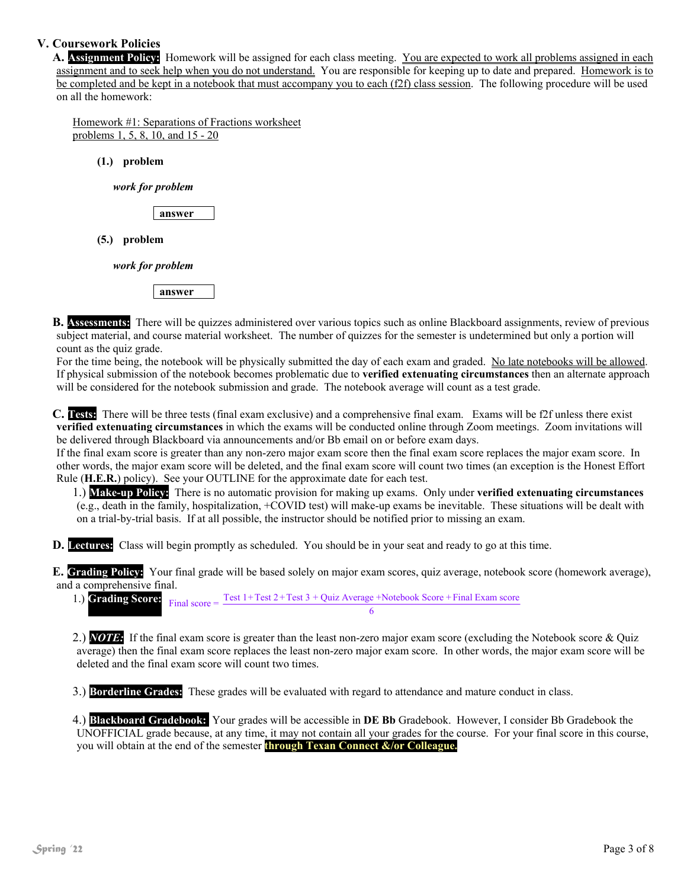#### **V. Coursework Policies**

**A. Assignment Policy:** Homework will be assigned for each class meeting. You are expected to work all problems assigned in each assignment and to seek help when you do not understand. You are responsible for keeping up to date and prepared. Homework is to be completed and be kept in a notebook that must accompany you to each (f2f) class session. The following procedure will be used on all the homework:

Homework #1: Separations of Fractions worksheet problems 1, 5, 8, 10, and 15 - 20

**(1.) problem** 

*work for problem* 

**answer** 

**(5.) problem** 

*work for problem* 

**answer** 

**B. Assessments:** There will be quizzes administered over various topics such as online Blackboard assignments, review of previous subject material, and course material worksheet. The number of quizzes for the semester is undetermined but only a portion will count as the quiz grade.

For the time being, the notebook will be physically submitted the day of each exam and graded. No late notebooks will be allowed. If physical submission of the notebook becomes problematic due to **verified extenuating circumstances** then an alternate approach will be considered for the notebook submission and grade. The notebook average will count as a test grade.

**C. Tests:** There will be three tests (final exam exclusive) and a comprehensive final exam. Exams will be f2f unless there exist **verified extenuating circumstances** in which the exams will be conducted online through Zoom meetings. Zoom invitations will be delivered through Blackboard via announcements and/or Bb email on or before exam days.

If the final exam score is greater than any non-zero major exam score then the final exam score replaces the major exam score. In other words, the major exam score will be deleted, and the final exam score will count two times (an exception is the Honest Effort Rule (**H.E.R.**) policy). See your OUTLINE for the approximate date for each test.

1.) **Make-up Policy:** There is no automatic provision for making up exams. Only under **verified extenuating circumstances** (e.g., death in the family, hospitalization, +COVID test) will make-up exams be inevitable. These situations will be dealt with on a trial-by-trial basis. If at all possible, the instructor should be notified prior to missing an exam.

**D. Lectures:** Class will begin promptly as scheduled. You should be in your seat and ready to go at this time.

**E. Grading Policy:** Your final grade will be based solely on major exam scores, quiz average, notebook score (homework average), and a comprehensive final.

|  |  | 1.) <b>Grading Score:</b> Final score = $\frac{\text{Test }1 + \text{Test }2 + \text{Test }3 + \text{Quiz Average} + \text{Notebook Score} + \text{Final Exam score}}{1 + \text{Test }2 + \text{Test }3 + \text{Quiz Average} + \text{Notebook Score} + \text{Final Exam score}}$ |
|--|--|-----------------------------------------------------------------------------------------------------------------------------------------------------------------------------------------------------------------------------------------------------------------------------------|
|  |  |                                                                                                                                                                                                                                                                                   |

2.) *NOTE:* If the final exam score is greater than the least non-zero major exam score (excluding the Notebook score & Quiz average) then the final exam score replaces the least non-zero major exam score. In other words, the major exam score will be deleted and the final exam score will count two times.

3.) **Borderline Grades:** These grades will be evaluated with regard to attendance and mature conduct in class.

4.) **Blackboard Gradebook:** Your grades will be accessible in **DE Bb** Gradebook. However, I consider Bb Gradebook the UNOFFICIAL grade because, at any time, it may not contain all your grades for the course. For your final score in this course, you will obtain at the end of the semester **through Texan Connect &/or Colleague.**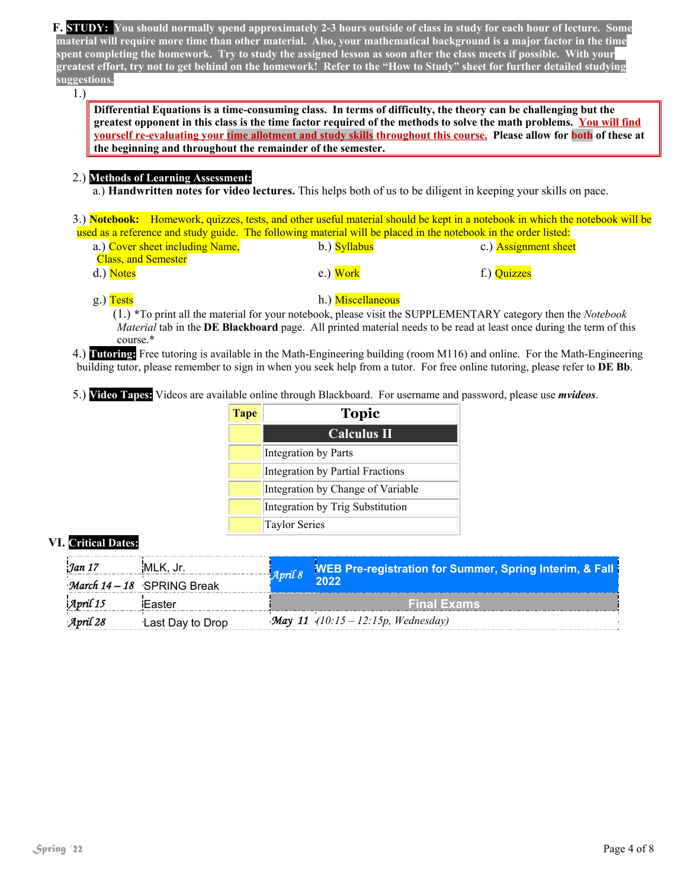**F. STUDY: You should normally spend approximately 2-3 hours outside of class in study for each hour of lecture. Some material will require more time than other material. Also, your mathematical background is a major factor in the time spent completing the homework. Try to study the assigned lesson as soon after the class meets if possible. With your greatest effort, try not to get behind on the homework! Refer to the "How to Study" sheet for further detailed studying suggestions.**

1.)

**Differential Equations is a time-consuming class. In terms of difficulty, the theory can be challenging but the greatest opponent in this class is the time factor required of the methods to solve the math problems. You will find yourself re-evaluating your time allotment and study skills throughout this course. Please allow for both of these at the beginning and throughout the remainder of the semester.**

#### 2.) **Methods of Learning Assessment:**

a.) **Handwritten notes for video lectures.** This helps both of us to be diligent in keeping your skills on pace.

3.) **Notebook:** Homework, quizzes, tests, and other useful material should be kept in a notebook in which the notebook will be used as a reference and study guide. The following material will be placed in the notebook in the order listed:

| a.) Cover sheet including Name, | b.) Syllabus | c.) <b>Assignment sheet</b> |
|---------------------------------|--------------|-----------------------------|
| <b>Class, and Semester</b>      |              |                             |
| d.) Notes                       | $e$ .) Work  | f.) Quizzes                 |

#### g.) Tests h.) Miscellaneous

(1.) \*To print all the material for your notebook, please visit the SUPPLEMENTARY category then the *Notebook Material* tab in the **DE Blackboard** page. All printed material needs to be read at least once during the term of this course.\*

4.) **Tutoring:** Free tutoring is available in the Math-Engineering building (room M116) and online. For the Math-Engineering building tutor, please remember to sign in when you seek help from a tutor. For free online tutoring, please refer to **DE Bb**.

5.) **Video Tapes:** Videos are available online through Blackboard. For username and password, please use *mvideos*.

| <b>Tape</b> | <b>Topic</b>                            |
|-------------|-----------------------------------------|
|             | <b>Calculus II</b>                      |
|             | Integration by Parts                    |
|             | <b>Integration by Partial Fractions</b> |
|             | Integration by Change of Variable       |
|             | Integration by Trig Substitution        |
|             | <b>Taylor Series</b>                    |

#### **VI. Critical Dates:**

| Jan 17                | MLK, Jr.                   | April 8 | <b>WEB Pre-registration for Summer, Spring Interim, &amp; Fall</b> |
|-----------------------|----------------------------|---------|--------------------------------------------------------------------|
|                       | March 14 - 18 SPRING Break |         | 2022                                                               |
| $\mathcal{A}$ pril 15 | Easter                     |         | <b>Final Exams</b>                                                 |
| April 28              | Last Day to Drop           |         | <b>May 11</b> (10:15 – 12:15p, Wednesday)                          |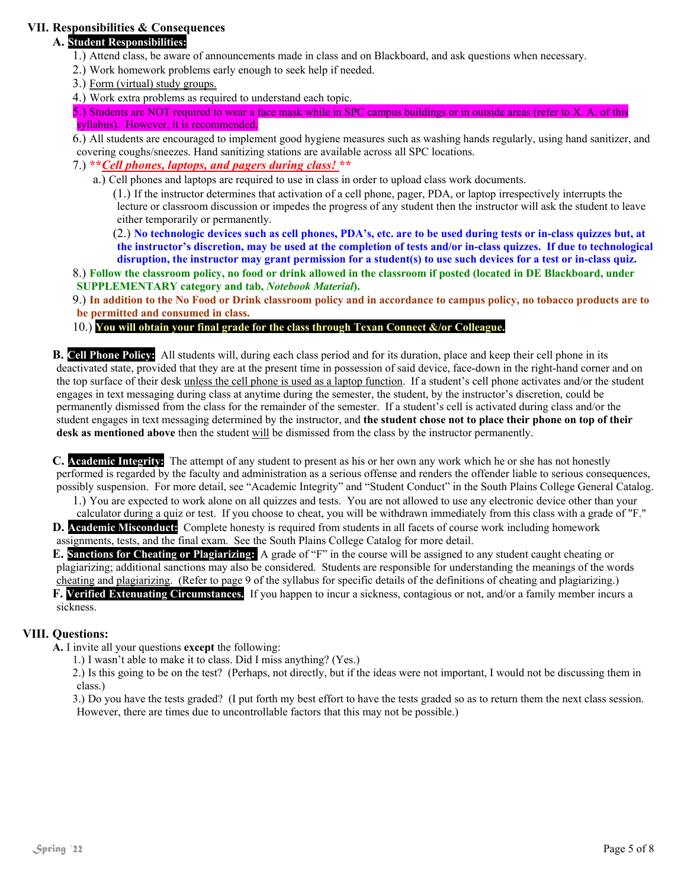#### **VII. Responsibilities & Consequences**

#### **A. Student Responsibilities:**

- 1.) Attend class, be aware of announcements made in class and on Blackboard, and ask questions when necessary.
- 2.) Work homework problems early enough to seek help if needed.
- 3.) Form (virtual) study groups.
- 4.) Work extra problems as required to understand each topic.

5.) Students are NOT required to wear a face mask while in SPC campus buildings or in outside areas (refer to X. A. of this syllabus). However, it is recommended.

6.) All students are encouraged to implement good hygiene measures such as washing hands regularly, using hand sanitizer, and covering coughs/sneezes. Hand sanitizing stations are available across all SPC locations.

7.) **\*\****Cell phones, laptops, and pagers during class!* **\*\***

a.) Cell phones and laptops are required to use in class in order to upload class work documents.

(1.) If the instructor determines that activation of a cell phone, pager, PDA, or laptop irrespectively interrupts the lecture or classroom discussion or impedes the progress of any student then the instructor will ask the student to leave either temporarily or permanently.

(2.) **No technologic devices such as cell phones, PDA's, etc. are to be used during tests or in-class quizzes but, at the instructor's discretion, may be used at the completion of tests and/or in-class quizzes. If due to technological disruption, the instructor may grant permission for a student(s) to use such devices for a test or in-class quiz.** 

8.) **Follow the classroom policy, no food or drink allowed in the classroom if posted (located in DE Blackboard, under SUPPLEMENTARY category and tab,** *Notebook Material***).**

9.) **In addition to the No Food or Drink classroom policy and in accordance to campus policy, no tobacco products are to be permitted and consumed in class.** 

#### 10.) **You will obtain your final grade for the class through Texan Connect &/or Colleague.**

**B. Cell Phone Policy:** All students will, during each class period and for its duration, place and keep their cell phone in its deactivated state, provided that they are at the present time in possession of said device, face-down in the right-hand corner and on the top surface of their desk unless the cell phone is used as a laptop function. If a student's cell phone activates and/or the student engages in text messaging during class at anytime during the semester, the student, by the instructor's discretion, could be permanently dismissed from the class for the remainder of the semester. If a student's cell is activated during class and/or the student engages in text messaging determined by the instructor, and **the student chose not to place their phone on top of their desk as mentioned above** then the student will be dismissed from the class by the instructor permanently.

**C. Academic Integrity:** The attempt of any student to present as his or her own any work which he or she has not honestly performed is regarded by the faculty and administration as a serious offense and renders the offender liable to serious consequences, possibly suspension. For more detail, see "Academic Integrity" and "Student Conduct" in the South Plains College General Catalog.

1.) You are expected to work alone on all quizzes and tests. You are not allowed to use any electronic device other than your

calculator during a quiz or test. If you choose to cheat, you will be withdrawn immediately from this class with a grade of "F." **D. Academic Misconduct:** Complete honesty is required from students in all facets of course work including homework assignments, tests, and the final exam. See the South Plains College Catalog for more detail.

**E. Sanctions for Cheating or Plagiarizing:** A grade of "F" in the course will be assigned to any student caught cheating or plagiarizing; additional sanctions may also be considered. Students are responsible for understanding the meanings of the words cheating and plagiarizing. (Refer to page 9 of the syllabus for specific details of the definitions of cheating and plagiarizing.) **F. Verified Extenuating Circumstances.** If you happen to incur a sickness, contagious or not, and/or a family member incurs a sickness.

#### **VIII. Questions:**

**A.** I invite all your questions **except** the following:

1.) I wasn't able to make it to class. Did I miss anything? (Yes.)

2.) Is this going to be on the test? (Perhaps, not directly, but if the ideas were not important, I would not be discussing them in class.)

3.) Do you have the tests graded? (I put forth my best effort to have the tests graded so as to return them the next class session. However, there are times due to uncontrollable factors that this may not be possible.)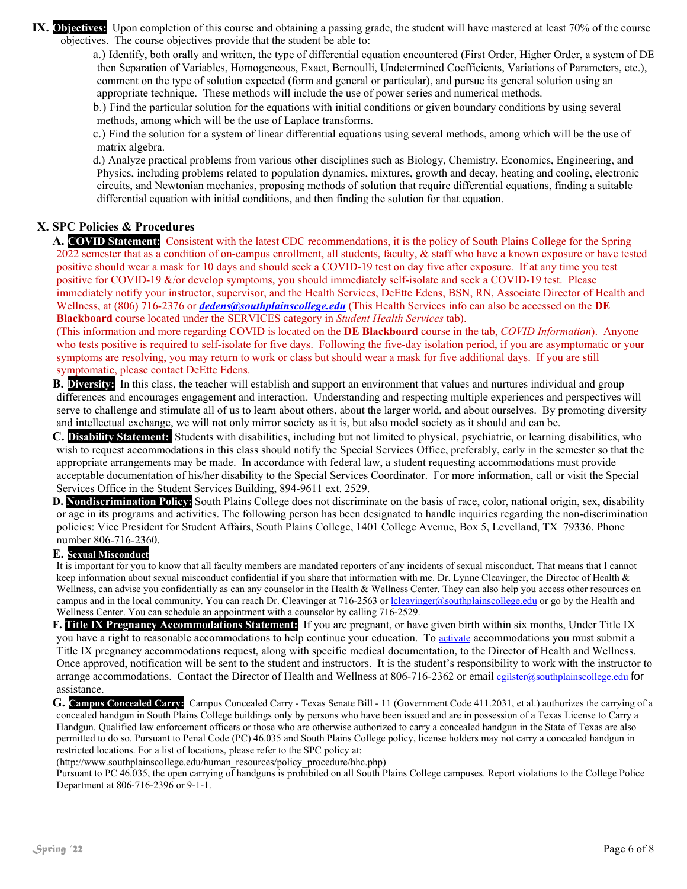**IX.** Objectives: Upon completion of this course and obtaining a passing grade, the student will have mastered at least 70% of the course objectives. The course objectives provide that the student be able to:

a.) Identify, both orally and written, the type of differential equation encountered (First Order, Higher Order, a system of DE then Separation of Variables, Homogeneous, Exact, Bernoulli, Undetermined Coefficients, Variations of Parameters, etc.), comment on the type of solution expected (form and general or particular), and pursue its general solution using an appropriate technique. These methods will include the use of power series and numerical methods.

b.) Find the particular solution for the equations with initial conditions or given boundary conditions by using several methods, among which will be the use of Laplace transforms.

c.) Find the solution for a system of linear differential equations using several methods, among which will be the use of matrix algebra.

d.) Analyze practical problems from various other disciplines such as Biology, Chemistry, Economics, Engineering, and Physics, including problems related to population dynamics, mixtures, growth and decay, heating and cooling, electronic circuits, and Newtonian mechanics, proposing methods of solution that require differential equations, finding a suitable differential equation with initial conditions, and then finding the solution for that equation.

#### **X. SPC Policies & Procedures**

**A. COVID Statement:** Consistent with the latest CDC recommendations, it is the policy of South Plains College for the Spring 2022 semester that as a condition of on-campus enrollment, all students, faculty, & staff who have a known exposure or have tested positive should wear a mask for 10 days and should seek a COVID-19 test on day five after exposure. If at any time you test positive for COVID-19 &/or develop symptoms, you should immediately self-isolate and seek a COVID-19 test. Please immediately notify your instructor, supervisor, and the Health Services, DeEtte Edens, BSN, RN, Associate Director of Health and Wellness, at (806) 716-2376 or *dedens@southplainscollege.edu* (This Health Services info can also be accessed on the **DE Blackboard** course located under the SERVICES category in *Student Health Services* tab).

(This information and more regarding COVID is located on the **DE Blackboard** course in the tab, *COVID Information*). Anyone who tests positive is required to self-isolate for five days. Following the five-day isolation period, if you are asymptomatic or your symptoms are resolving, you may return to work or class but should wear a mask for five additional days. If you are still symptomatic, please contact DeEtte Edens.

**B. Diversity:** In this class, the teacher will establish and support an environment that values and nurtures individual and group differences and encourages engagement and interaction. Understanding and respecting multiple experiences and perspectives will serve to challenge and stimulate all of us to learn about others, about the larger world, and about ourselves. By promoting diversity and intellectual exchange, we will not only mirror society as it is, but also model society as it should and can be.

**C. Disability Statement:** Students with disabilities, including but not limited to physical, psychiatric, or learning disabilities, who wish to request accommodations in this class should notify the Special Services Office, preferably, early in the semester so that the appropriate arrangements may be made. In accordance with federal law, a student requesting accommodations must provide acceptable documentation of his/her disability to the Special Services Coordinator. For more information, call or visit the Special Services Office in the Student Services Building, 894-9611 ext. 2529.

**D. Nondiscrimination Policy:** South Plains College does not discriminate on the basis of race, color, national origin, sex, disability or age in its programs and activities. The following person has been designated to handle inquiries regarding the non-discrimination policies: Vice President for Student Affairs, South Plains College, 1401 College Avenue, Box 5, Levelland, TX 79336. Phone number 806-716-2360.

#### **E. Sexual Misconduct**

It is important for you to know that all faculty members are mandated reporters of any incidents of sexual misconduct. That means that I cannot keep information about sexual misconduct confidential if you share that information with me. Dr. Lynne Cleavinger, the Director of Health & Wellness, can advise you confidentially as can any counselor in the Health & Wellness Center. They can also help you access other resources on campus and in the local community. You can reach Dr. Cleavinger at 716-2563 or lcleavinger@southplainscollege.edu or go by the Health and Wellness Center. You can schedule an appointment with a counselor by calling 716-2529.

**F. Title IX Pregnancy Accommodations Statement:** If you are pregnant, or have given birth within six months, Under Title IX you have a right to reasonable accommodations to help continue your education. To activate accommodations you must submit a Title IX pregnancy accommodations request, along with specific medical documentation, to the Director of Health and Wellness. Once approved, notification will be sent to the student and instructors. It is the student's responsibility to work with the instructor to arrange accommodations. Contact the Director of Health and Wellness at 806-716-2362 or email cgilster@southplainscollege.edu for assistance.

**G. Campus Concealed Carry:** Campus Concealed Carry - Texas Senate Bill - 11 (Government Code 411.2031, et al.) authorizes the carrying of a concealed handgun in South Plains College buildings only by persons who have been issued and are in possession of a Texas License to Carry a Handgun. Qualified law enforcement officers or those who are otherwise authorized to carry a concealed handgun in the State of Texas are also permitted to do so. Pursuant to Penal Code (PC) 46.035 and South Plains College policy, license holders may not carry a concealed handgun in restricted locations. For a list of locations, please refer to the SPC policy at:

(http://www.southplainscollege.edu/human\_resources/policy\_procedure/hhc.php)

Pursuant to PC 46.035, the open carrying of handguns is prohibited on all South Plains College campuses. Report violations to the College Police Department at 806-716-2396 or 9-1-1.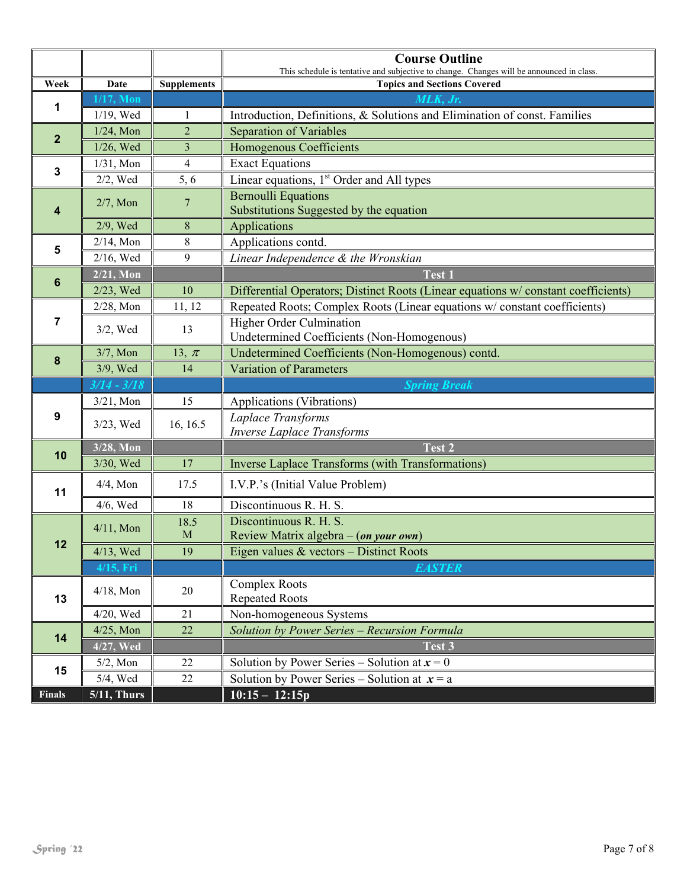|               |                |                    | <b>Course Outline</b><br>This schedule is tentative and subjective to change. Changes will be announced in class. |  |
|---------------|----------------|--------------------|-------------------------------------------------------------------------------------------------------------------|--|
| Week          | Date           | <b>Supplements</b> | <b>Topics and Sections Covered</b>                                                                                |  |
|               | $1/17$ , Mon   |                    |                                                                                                                   |  |
| 1             | $1/19$ , Wed   | $\mathbf{1}$       | Introduction, Definitions, & Solutions and Elimination of const. Families                                         |  |
|               | $1/24$ , Mon   | $\overline{2}$     | <b>Separation of Variables</b>                                                                                    |  |
| $\mathbf{2}$  | 1/26, Wed      | 3                  | <b>Homogenous Coefficients</b>                                                                                    |  |
|               | $1/31$ , Mon   | $\overline{4}$     | <b>Exact Equations</b>                                                                                            |  |
| 3             | $2/2$ , Wed    | 5, 6               | Linear equations, $1st$ Order and All types                                                                       |  |
| 4             | $2/7$ , Mon    | 7                  | <b>Bernoulli Equations</b><br>Substitutions Suggested by the equation                                             |  |
|               | 2/9, Wed       | 8                  | Applications                                                                                                      |  |
| 5             | $2/14$ , Mon   | $\,$ 8 $\,$        | Applications contd.                                                                                               |  |
|               | 2/16, Wed      | 9                  | Linear Independence & the Wronskian                                                                               |  |
| 6             | $2/21$ , Mon   |                    | <b>Test 1</b>                                                                                                     |  |
|               | 2/23, Wed      | 10                 | Differential Operators; Distinct Roots (Linear equations w/constant coefficients)                                 |  |
|               | $2/28$ , Mon   | 11, 12             | Repeated Roots; Complex Roots (Linear equations w/constant coefficients)                                          |  |
| 7             | $3/2$ , Wed    | 13                 | <b>Higher Order Culmination</b><br>Undetermined Coefficients (Non-Homogenous)                                     |  |
|               | $3/7$ , Mon    | 13, $\pi$          | Undetermined Coefficients (Non-Homogenous) contd.                                                                 |  |
| 8             | 3/9, Wed       | 14                 | <b>Variation of Parameters</b>                                                                                    |  |
|               | $3/14 - 3/18$  |                    | <b>Spring Break</b>                                                                                               |  |
|               | $3/21$ , Mon   | 15                 | Applications (Vibrations)                                                                                         |  |
| 9             | 3/23, Wed      | 16, 16.5           | Laplace Transforms<br><b>Inverse Laplace Transforms</b>                                                           |  |
| 10            | 3/28, Mon      |                    | Test 2                                                                                                            |  |
|               | 3/30, Wed      | 17                 | <b>Inverse Laplace Transforms (with Transformations)</b>                                                          |  |
| 11            | $4/4$ , Mon    | 17.5               | I.V.P.'s (Initial Value Problem)                                                                                  |  |
|               | $4/6$ , Wed    | 18                 | Discontinuous R. H. S.                                                                                            |  |
|               | $4/11$ , Mon   | 18.5               | Discontinuous R. H. S.                                                                                            |  |
| 12            | $\mathbf M$    |                    | Review Matrix algebra – (on your own)                                                                             |  |
|               | $4/13$ , Wed   | 19                 | Eigen values $&$ vectors – Distinct Roots                                                                         |  |
|               | 4/15, Fri      |                    | <b>EASTER</b>                                                                                                     |  |
| 13            | $4/18$ , Mon   | $20\,$             | <b>Complex Roots</b><br><b>Repeated Roots</b>                                                                     |  |
|               | $4/20$ , Wed   | 21                 | Non-homogeneous Systems                                                                                           |  |
| 14            | $4/25$ , Mon   | 22                 | Solution by Power Series - Recursion Formula                                                                      |  |
|               | 4/27, Wed      |                    | Test 3                                                                                                            |  |
| 15            | $5/2$ , Mon    | 22                 | Solution by Power Series – Solution at $x = 0$                                                                    |  |
|               | $5/4$ , Wed    | 22                 | Solution by Power Series – Solution at $x = a$                                                                    |  |
| <b>Finals</b> | $5/11$ , Thurs |                    | $10:15 - 12:15p$                                                                                                  |  |